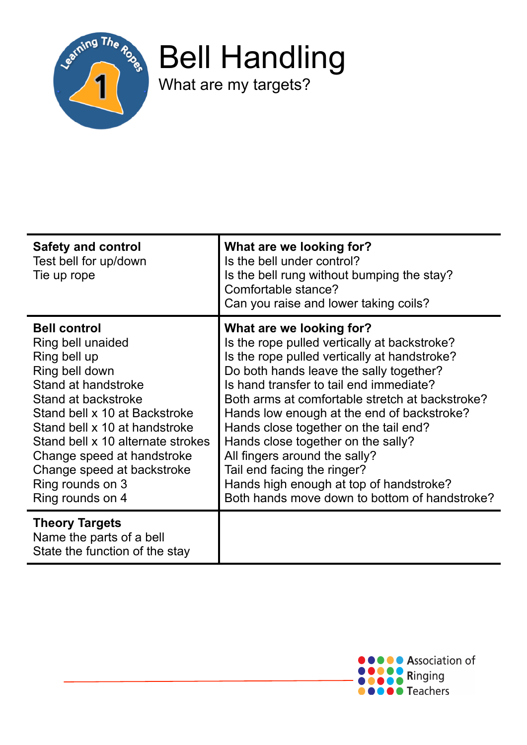

Bell Handling

What are my targets?

| <b>Safety and control</b><br>Test bell for up/down<br>Tie up rope                                                                                                                                                                                                                                                                   | What are we looking for?<br>Is the bell under control?<br>Is the bell rung without bumping the stay?<br>Comfortable stance?<br>Can you raise and lower taking coils?                                                                                                                                                                                                                                                                                                                                                                                       |
|-------------------------------------------------------------------------------------------------------------------------------------------------------------------------------------------------------------------------------------------------------------------------------------------------------------------------------------|------------------------------------------------------------------------------------------------------------------------------------------------------------------------------------------------------------------------------------------------------------------------------------------------------------------------------------------------------------------------------------------------------------------------------------------------------------------------------------------------------------------------------------------------------------|
| <b>Bell control</b><br>Ring bell unaided<br>Ring bell up<br>Ring bell down<br>Stand at handstroke<br>Stand at backstroke<br>Stand bell x 10 at Backstroke<br>Stand bell x 10 at handstroke<br>Stand bell x 10 alternate strokes<br>Change speed at handstroke<br>Change speed at backstroke<br>Ring rounds on 3<br>Ring rounds on 4 | What are we looking for?<br>Is the rope pulled vertically at backstroke?<br>Is the rope pulled vertically at handstroke?<br>Do both hands leave the sally together?<br>Is hand transfer to tail end immediate?<br>Both arms at comfortable stretch at backstroke?<br>Hands low enough at the end of backstroke?<br>Hands close together on the tail end?<br>Hands close together on the sally?<br>All fingers around the sally?<br>Tail end facing the ringer?<br>Hands high enough at top of handstroke?<br>Both hands move down to bottom of handstroke? |
| <b>Theory Targets</b><br>Name the parts of a bell<br>State the function of the stay                                                                                                                                                                                                                                                 |                                                                                                                                                                                                                                                                                                                                                                                                                                                                                                                                                            |

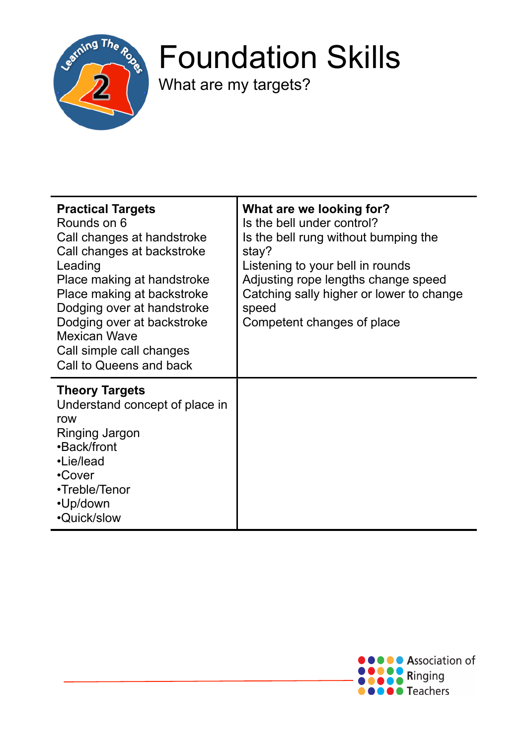

## Foundation Skills

What are my targets?

| <b>Practical Targets</b><br>Rounds on 6<br>Call changes at handstroke<br>Call changes at backstroke<br>Leading<br>Place making at handstroke<br>Place making at backstroke<br>Dodging over at handstroke<br>Dodging over at backstroke<br><b>Mexican Wave</b><br>Call simple call changes<br>Call to Queens and back | What are we looking for?<br>Is the bell under control?<br>Is the bell rung without bumping the<br>stay?<br>Listening to your bell in rounds<br>Adjusting rope lengths change speed<br>Catching sally higher or lower to change<br>speed<br>Competent changes of place |
|----------------------------------------------------------------------------------------------------------------------------------------------------------------------------------------------------------------------------------------------------------------------------------------------------------------------|-----------------------------------------------------------------------------------------------------------------------------------------------------------------------------------------------------------------------------------------------------------------------|
| <b>Theory Targets</b><br>Understand concept of place in<br>row<br>Ringing Jargon<br>•Back/front<br>•Lie/lead<br>•Cover<br>•Treble/Tenor<br>•Up/down<br>•Quick/slow                                                                                                                                                   |                                                                                                                                                                                                                                                                       |